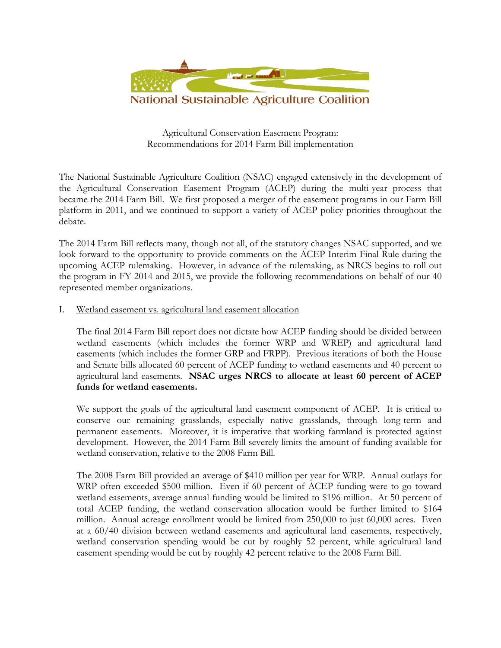

Agricultural Conservation Easement Program: Recommendations for 2014 Farm Bill implementation

The National Sustainable Agriculture Coalition (NSAC) engaged extensively in the development of the Agricultural Conservation Easement Program (ACEP) during the multi-year process that became the 2014 Farm Bill. We first proposed a merger of the easement programs in our Farm Bill platform in 2011, and we continued to support a variety of ACEP policy priorities throughout the debate.

The 2014 Farm Bill reflects many, though not all, of the statutory changes NSAC supported, and we look forward to the opportunity to provide comments on the ACEP Interim Final Rule during the upcoming ACEP rulemaking. However, in advance of the rulemaking, as NRCS begins to roll out the program in FY 2014 and 2015, we provide the following recommendations on behalf of our 40 represented member organizations.

I. Wetland easement vs. agricultural land easement allocation

The final 2014 Farm Bill report does not dictate how ACEP funding should be divided between wetland easements (which includes the former WRP and WREP) and agricultural land easements (which includes the former GRP and FRPP). Previous iterations of both the House and Senate bills allocated 60 percent of ACEP funding to wetland easements and 40 percent to agricultural land easements. **NSAC urges NRCS to allocate at least 60 percent of ACEP funds for wetland easements.** 

We support the goals of the agricultural land easement component of ACEP. It is critical to conserve our remaining grasslands, especially native grasslands, through long-term and permanent easements. Moreover, it is imperative that working farmland is protected against development. However, the 2014 Farm Bill severely limits the amount of funding available for wetland conservation, relative to the 2008 Farm Bill.

The 2008 Farm Bill provided an average of \$410 million per year for WRP. Annual outlays for WRP often exceeded \$500 million. Even if 60 percent of ACEP funding were to go toward wetland easements, average annual funding would be limited to \$196 million. At 50 percent of total ACEP funding, the wetland conservation allocation would be further limited to \$164 million. Annual acreage enrollment would be limited from 250,000 to just 60,000 acres. Even at a 60/40 division between wetland easements and agricultural land easements, respectively, wetland conservation spending would be cut by roughly 52 percent, while agricultural land easement spending would be cut by roughly 42 percent relative to the 2008 Farm Bill.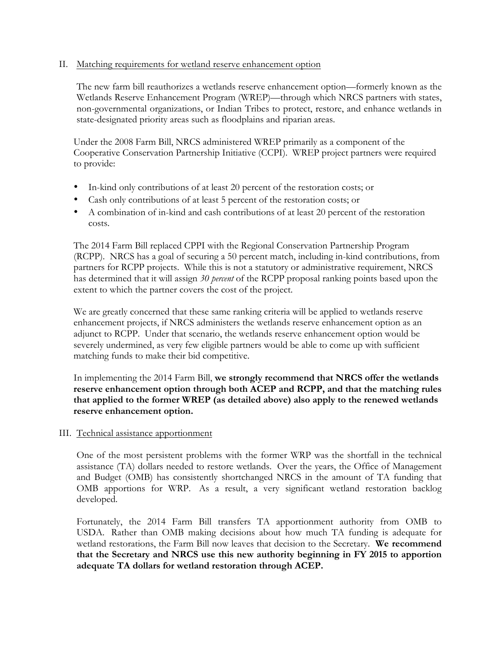### II. Matching requirements for wetland reserve enhancement option

The new farm bill reauthorizes a wetlands reserve enhancement option—formerly known as the Wetlands Reserve Enhancement Program (WREP)—through which NRCS partners with states, non-governmental organizations, or Indian Tribes to protect, restore, and enhance wetlands in state-designated priority areas such as floodplains and riparian areas.

Under the 2008 Farm Bill, NRCS administered WREP primarily as a component of the Cooperative Conservation Partnership Initiative (CCPI). WREP project partners were required to provide:

- In-kind only contributions of at least 20 percent of the restoration costs; or
- Cash only contributions of at least 5 percent of the restoration costs; or
- A combination of in-kind and cash contributions of at least 20 percent of the restoration costs.

The 2014 Farm Bill replaced CPPI with the Regional Conservation Partnership Program (RCPP). NRCS has a goal of securing a 50 percent match, including in-kind contributions, from partners for RCPP projects. While this is not a statutory or administrative requirement, NRCS has determined that it will assign *30 percent* of the RCPP proposal ranking points based upon the extent to which the partner covers the cost of the project.

We are greatly concerned that these same ranking criteria will be applied to wetlands reserve enhancement projects, if NRCS administers the wetlands reserve enhancement option as an adjunct to RCPP. Under that scenario, the wetlands reserve enhancement option would be severely undermined, as very few eligible partners would be able to come up with sufficient matching funds to make their bid competitive.

In implementing the 2014 Farm Bill, **we strongly recommend that NRCS offer the wetlands reserve enhancement option through both ACEP and RCPP, and that the matching rules that applied to the former WREP (as detailed above) also apply to the renewed wetlands reserve enhancement option.**

## III. Technical assistance apportionment

One of the most persistent problems with the former WRP was the shortfall in the technical assistance (TA) dollars needed to restore wetlands. Over the years, the Office of Management and Budget (OMB) has consistently shortchanged NRCS in the amount of TA funding that OMB apportions for WRP. As a result, a very significant wetland restoration backlog developed.

Fortunately, the 2014 Farm Bill transfers TA apportionment authority from OMB to USDA. Rather than OMB making decisions about how much TA funding is adequate for wetland restorations, the Farm Bill now leaves that decision to the Secretary. **We recommend that the Secretary and NRCS use this new authority beginning in FY 2015 to apportion adequate TA dollars for wetland restoration through ACEP.**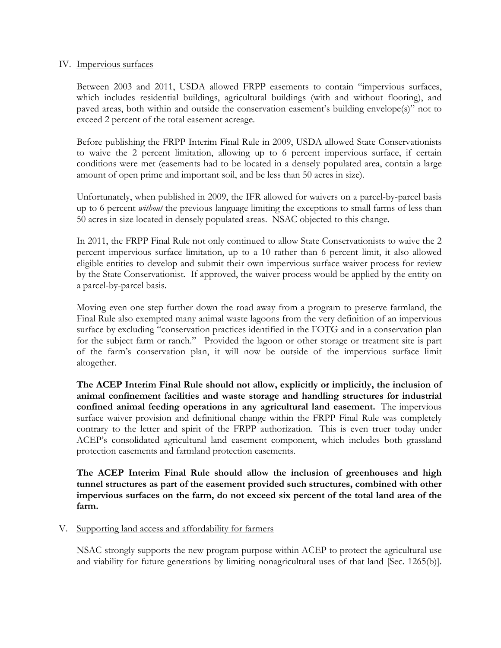### IV. Impervious surfaces

Between 2003 and 2011, USDA allowed FRPP easements to contain "impervious surfaces, which includes residential buildings, agricultural buildings (with and without flooring), and paved areas, both within and outside the conservation easement's building envelope(s)" not to exceed 2 percent of the total easement acreage.

Before publishing the FRPP Interim Final Rule in 2009, USDA allowed State Conservationists to waive the 2 percent limitation, allowing up to 6 percent impervious surface, if certain conditions were met (easements had to be located in a densely populated area, contain a large amount of open prime and important soil, and be less than 50 acres in size).

Unfortunately, when published in 2009, the IFR allowed for waivers on a parcel-by-parcel basis up to 6 percent *without* the previous language limiting the exceptions to small farms of less than 50 acres in size located in densely populated areas. NSAC objected to this change.

In 2011, the FRPP Final Rule not only continued to allow State Conservationists to waive the 2 percent impervious surface limitation, up to a 10 rather than 6 percent limit, it also allowed eligible entities to develop and submit their own impervious surface waiver process for review by the State Conservationist. If approved, the waiver process would be applied by the entity on a parcel-by-parcel basis.

Moving even one step further down the road away from a program to preserve farmland, the Final Rule also exempted many animal waste lagoons from the very definition of an impervious surface by excluding "conservation practices identified in the FOTG and in a conservation plan for the subject farm or ranch." Provided the lagoon or other storage or treatment site is part of the farm's conservation plan, it will now be outside of the impervious surface limit altogether.

**The ACEP Interim Final Rule should not allow, explicitly or implicitly, the inclusion of animal confinement facilities and waste storage and handling structures for industrial confined animal feeding operations in any agricultural land easement.** The impervious surface waiver provision and definitional change within the FRPP Final Rule was completely contrary to the letter and spirit of the FRPP authorization. This is even truer today under ACEP's consolidated agricultural land easement component, which includes both grassland protection easements and farmland protection easements.

**The ACEP Interim Final Rule should allow the inclusion of greenhouses and high tunnel structures as part of the easement provided such structures, combined with other impervious surfaces on the farm, do not exceed six percent of the total land area of the farm.**

### V. Supporting land access and affordability for farmers

NSAC strongly supports the new program purpose within ACEP to protect the agricultural use and viability for future generations by limiting nonagricultural uses of that land [Sec. 1265(b)].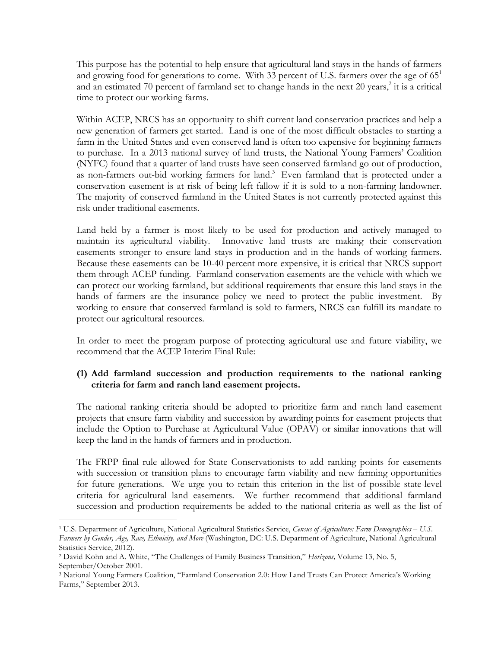This purpose has the potential to help ensure that agricultural land stays in the hands of farmers and growing food for generations to come. With 33 percent of U.S. farmers over the age of  $65<sup>1</sup>$ and an estimated 70 percent of farmland set to change hands in the next 20 years, $2$  it is a critical time to protect our working farms.

Within ACEP, NRCS has an opportunity to shift current land conservation practices and help a new generation of farmers get started. Land is one of the most difficult obstacles to starting a farm in the United States and even conserved land is often too expensive for beginning farmers to purchase. In a 2013 national survey of land trusts, the National Young Farmers' Coalition (NYFC) found that a quarter of land trusts have seen conserved farmland go out of production, as non-farmers out-bid working farmers for land.<sup>3</sup> Even farmland that is protected under a conservation easement is at risk of being left fallow if it is sold to a non-farming landowner. The majority of conserved farmland in the United States is not currently protected against this risk under traditional easements.

Land held by a farmer is most likely to be used for production and actively managed to maintain its agricultural viability. Innovative land trusts are making their conservation easements stronger to ensure land stays in production and in the hands of working farmers. Because these easements can be 10-40 percent more expensive, it is critical that NRCS support them through ACEP funding. Farmland conservation easements are the vehicle with which we can protect our working farmland, but additional requirements that ensure this land stays in the hands of farmers are the insurance policy we need to protect the public investment. By working to ensure that conserved farmland is sold to farmers, NRCS can fulfill its mandate to protect our agricultural resources.

In order to meet the program purpose of protecting agricultural use and future viability, we recommend that the ACEP Interim Final Rule:

# **(1) Add farmland succession and production requirements to the national ranking criteria for farm and ranch land easement projects.**

The national ranking criteria should be adopted to prioritize farm and ranch land easement projects that ensure farm viability and succession by awarding points for easement projects that include the Option to Purchase at Agricultural Value (OPAV) or similar innovations that will keep the land in the hands of farmers and in production.

The FRPP final rule allowed for State Conservationists to add ranking points for easements with succession or transition plans to encourage farm viability and new farming opportunities for future generations. We urge you to retain this criterion in the list of possible state-level criteria for agricultural land easements. We further recommend that additional farmland succession and production requirements be added to the national criteria as well as the list of

 $\overline{a}$ 

<sup>1</sup> U.S. Department of Agriculture, National Agricultural Statistics Service, *Census of Agriculture: Farm Demographics – U.S. Farmers by Gender, Age, Race, Ethnicity, and More* (Washington, DC: U.S. Department of Agriculture, National Agricultural Statistics Service, 2012).

<sup>2</sup> David Kohn and A. White, "The Challenges of Family Business Transition," *Horizons,* Volume 13, No. 5, September/October 2001.

<sup>3</sup> National Young Farmers Coalition, "Farmland Conservation 2.0: How Land Trusts Can Protect America's Working Farms," September 2013.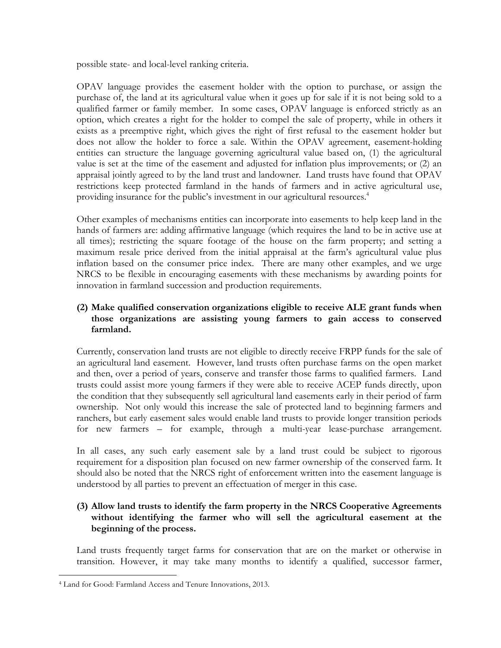possible state- and local-level ranking criteria.

OPAV language provides the easement holder with the option to purchase, or assign the purchase of, the land at its agricultural value when it goes up for sale if it is not being sold to a qualified farmer or family member. In some cases, OPAV language is enforced strictly as an option, which creates a right for the holder to compel the sale of property, while in others it exists as a preemptive right, which gives the right of first refusal to the easement holder but does not allow the holder to force a sale. Within the OPAV agreement, easement-holding entities can structure the language governing agricultural value based on, (1) the agricultural value is set at the time of the easement and adjusted for inflation plus improvements; or (2) an appraisal jointly agreed to by the land trust and landowner. Land trusts have found that OPAV restrictions keep protected farmland in the hands of farmers and in active agricultural use, providing insurance for the public's investment in our agricultural resources.<sup>4</sup>

Other examples of mechanisms entities can incorporate into easements to help keep land in the hands of farmers are: adding affirmative language (which requires the land to be in active use at all times); restricting the square footage of the house on the farm property; and setting a maximum resale price derived from the initial appraisal at the farm's agricultural value plus inflation based on the consumer price index. There are many other examples, and we urge NRCS to be flexible in encouraging easements with these mechanisms by awarding points for innovation in farmland succession and production requirements.

# **(2) Make qualified conservation organizations eligible to receive ALE grant funds when those organizations are assisting young farmers to gain access to conserved farmland.**

Currently, conservation land trusts are not eligible to directly receive FRPP funds for the sale of an agricultural land easement. However, land trusts often purchase farms on the open market and then, over a period of years, conserve and transfer those farms to qualified farmers. Land trusts could assist more young farmers if they were able to receive ACEP funds directly, upon the condition that they subsequently sell agricultural land easements early in their period of farm ownership. Not only would this increase the sale of protected land to beginning farmers and ranchers, but early easement sales would enable land trusts to provide longer transition periods for new farmers – for example, through a multi-year lease-purchase arrangement.

In all cases, any such early easement sale by a land trust could be subject to rigorous requirement for a disposition plan focused on new farmer ownership of the conserved farm. It should also be noted that the NRCS right of enforcement written into the easement language is understood by all parties to prevent an effectuation of merger in this case.

# **(3) Allow land trusts to identify the farm property in the NRCS Cooperative Agreements without identifying the farmer who will sell the agricultural easement at the beginning of the process.**

Land trusts frequently target farms for conservation that are on the market or otherwise in transition. However, it may take many months to identify a qualified, successor farmer,

 $\overline{a}$ <sup>4</sup> Land for Good: Farmland Access and Tenure Innovations, 2013.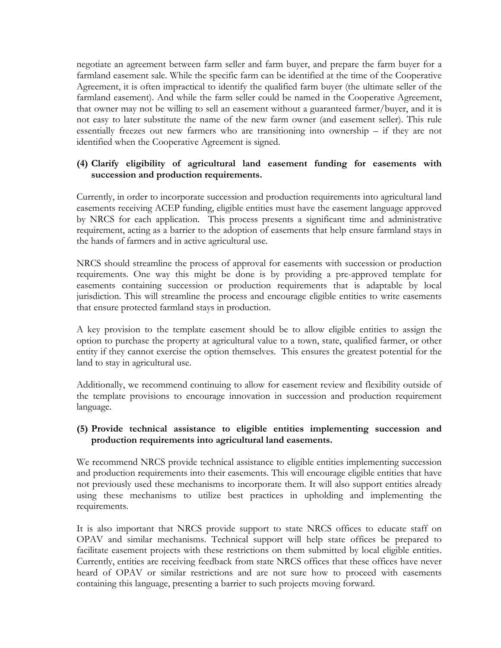negotiate an agreement between farm seller and farm buyer, and prepare the farm buyer for a farmland easement sale. While the specific farm can be identified at the time of the Cooperative Agreement, it is often impractical to identify the qualified farm buyer (the ultimate seller of the farmland easement). And while the farm seller could be named in the Cooperative Agreement, that owner may not be willing to sell an easement without a guaranteed farmer/buyer, and it is not easy to later substitute the name of the new farm owner (and easement seller). This rule essentially freezes out new farmers who are transitioning into ownership – if they are not identified when the Cooperative Agreement is signed.

# **(4) Clarify eligibility of agricultural land easement funding for easements with succession and production requirements.**

Currently, in order to incorporate succession and production requirements into agricultural land easements receiving ACEP funding, eligible entities must have the easement language approved by NRCS for each application. This process presents a significant time and administrative requirement, acting as a barrier to the adoption of easements that help ensure farmland stays in the hands of farmers and in active agricultural use.

NRCS should streamline the process of approval for easements with succession or production requirements. One way this might be done is by providing a pre-approved template for easements containing succession or production requirements that is adaptable by local jurisdiction. This will streamline the process and encourage eligible entities to write easements that ensure protected farmland stays in production.

A key provision to the template easement should be to allow eligible entities to assign the option to purchase the property at agricultural value to a town, state, qualified farmer, or other entity if they cannot exercise the option themselves. This ensures the greatest potential for the land to stay in agricultural use.

Additionally, we recommend continuing to allow for easement review and flexibility outside of the template provisions to encourage innovation in succession and production requirement language.

## **(5) Provide technical assistance to eligible entities implementing succession and production requirements into agricultural land easements.**

We recommend NRCS provide technical assistance to eligible entities implementing succession and production requirements into their easements. This will encourage eligible entities that have not previously used these mechanisms to incorporate them. It will also support entities already using these mechanisms to utilize best practices in upholding and implementing the requirements.

It is also important that NRCS provide support to state NRCS offices to educate staff on OPAV and similar mechanisms. Technical support will help state offices be prepared to facilitate easement projects with these restrictions on them submitted by local eligible entities. Currently, entities are receiving feedback from state NRCS offices that these offices have never heard of OPAV or similar restrictions and are not sure how to proceed with easements containing this language, presenting a barrier to such projects moving forward.